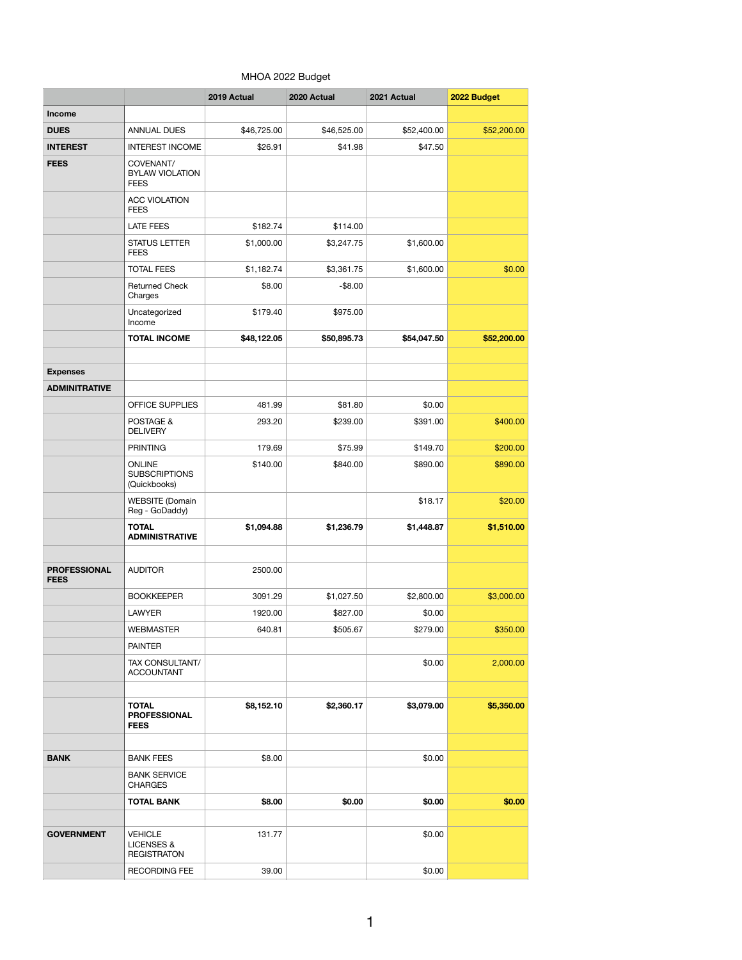## MHOA 2022 Budget

|                                    |                                                               | 2019 Actual | 2020 Actual | 2021 Actual | 2022 Budget |
|------------------------------------|---------------------------------------------------------------|-------------|-------------|-------------|-------------|
| <b>Income</b>                      |                                                               |             |             |             |             |
| <b>DUES</b>                        | <b>ANNUAL DUES</b>                                            | \$46,725.00 | \$46,525.00 | \$52,400.00 | \$52,200.00 |
| <b>INTEREST</b>                    | <b>INTEREST INCOME</b>                                        | \$26.91     | \$41.98     | \$47.50     |             |
| <b>FEES</b>                        | COVENANT/<br><b>BYLAW VIOLATION</b><br><b>FEES</b>            |             |             |             |             |
|                                    | <b>ACC VIOLATION</b><br><b>FEES</b>                           |             |             |             |             |
|                                    | <b>LATE FEES</b>                                              | \$182.74    | \$114.00    |             |             |
|                                    | <b>STATUS LETTER</b><br><b>FEES</b>                           | \$1,000.00  | \$3,247.75  | \$1,600.00  |             |
|                                    | <b>TOTAL FEES</b>                                             | \$1,182.74  | \$3,361.75  | \$1,600.00  | \$0.00      |
|                                    | <b>Returned Check</b><br>Charges                              | \$8.00      | $-$8.00$    |             |             |
|                                    | Uncategorized<br>Income                                       | \$179.40    | \$975.00    |             |             |
|                                    | <b>TOTAL INCOME</b>                                           | \$48,122.05 | \$50,895.73 | \$54,047.50 | \$52,200.00 |
|                                    |                                                               |             |             |             |             |
| <b>Expenses</b>                    |                                                               |             |             |             |             |
| <b>ADMINITRATIVE</b>               |                                                               |             |             |             |             |
|                                    | OFFICE SUPPLIES                                               | 481.99      | \$81.80     | \$0.00      |             |
|                                    | POSTAGE &<br><b>DELIVERY</b>                                  | 293.20      | \$239.00    | \$391.00    | \$400.00    |
|                                    | <b>PRINTING</b>                                               | 179.69      | \$75.99     | \$149.70    | \$200.00    |
|                                    | <b>ONLINE</b><br><b>SUBSCRIPTIONS</b><br>(Quickbooks)         | \$140.00    | \$840.00    | \$890.00    | \$890.00    |
|                                    | <b>WEBSITE</b> (Domain<br>Reg - GoDaddy)                      |             |             | \$18.17     | \$20.00     |
|                                    | <b>TOTAL</b><br><b>ADMINISTRATIVE</b>                         | \$1,094.88  | \$1,236.79  | \$1,448.87  | \$1,510.00  |
| <b>PROFESSIONAL</b><br><b>FEES</b> | <b>AUDITOR</b>                                                | 2500.00     |             |             |             |
|                                    | <b>BOOKKEEPER</b>                                             | 3091.29     | \$1,027.50  | \$2,800.00  | \$3,000.00  |
|                                    | LAWYER                                                        | 1920.00     | \$827.00    | \$0.00      |             |
|                                    | WEBMASTER                                                     | 640.81      | \$505.67    | \$279.00    | \$350.00    |
|                                    | <b>PAINTER</b>                                                |             |             |             |             |
|                                    | TAX CONSULTANT/<br><b>ACCOUNTANT</b>                          |             |             | \$0.00      | 2,000.00    |
|                                    | <b>TOTAL</b><br><b>PROFESSIONAL</b><br><b>FEES</b>            | \$8,152.10  | \$2,360.17  | \$3,079.00  | \$5,350.00  |
|                                    |                                                               |             |             |             |             |
| <b>BANK</b>                        | <b>BANK FEES</b><br><b>BANK SERVICE</b>                       | \$8.00      |             | \$0.00      |             |
|                                    | <b>CHARGES</b><br><b>TOTAL BANK</b>                           | \$8.00      |             | \$0.00      |             |
|                                    |                                                               |             | \$0.00      |             | \$0.00      |
| <b>GOVERNMENT</b>                  | <b>VEHICLE</b><br><b>LICENSES &amp;</b><br><b>REGISTRATON</b> | 131.77      |             | \$0.00      |             |
|                                    | RECORDING FEE                                                 | 39.00       |             | \$0.00      |             |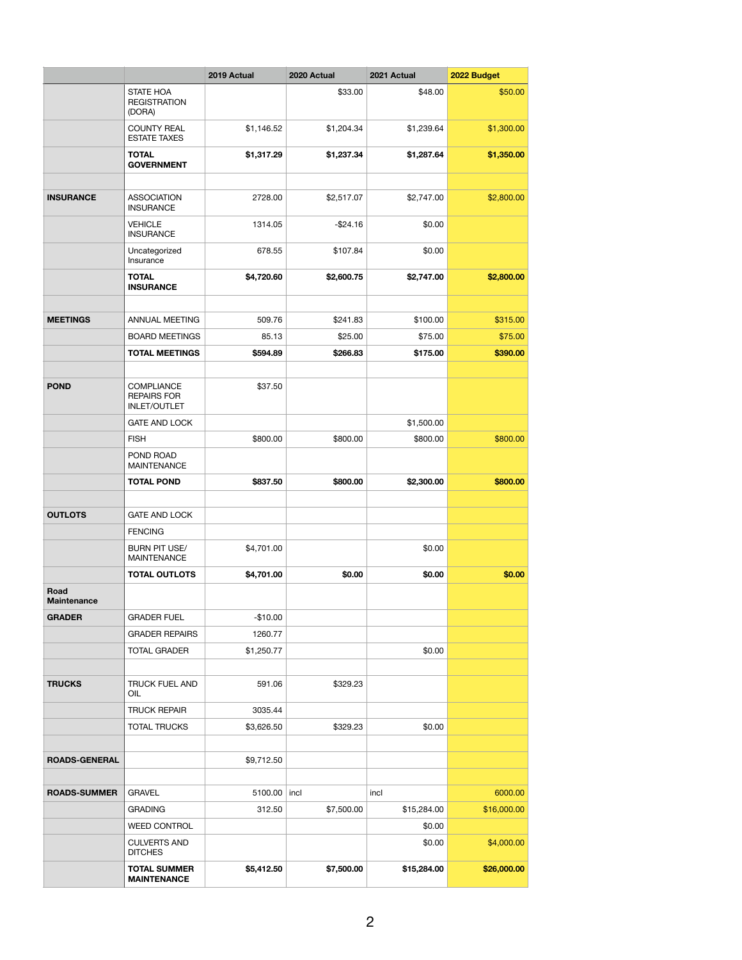|                            |                                                                | 2019 Actual    | 2020 Actual | 2021 Actual | 2022 Budget |
|----------------------------|----------------------------------------------------------------|----------------|-------------|-------------|-------------|
|                            | <b>STATE HOA</b><br><b>REGISTRATION</b><br>(DORA)              |                | \$33.00     | \$48.00     | \$50.00     |
|                            | <b>COUNTY REAL</b><br><b>ESTATE TAXES</b>                      | \$1,146.52     | \$1,204.34  | \$1,239.64  | \$1,300.00  |
|                            | TOTAL<br><b>GOVERNMENT</b>                                     | \$1,317.29     | \$1,237.34  | \$1,287.64  | \$1,350.00  |
|                            |                                                                |                |             |             |             |
| <b>INSURANCE</b>           | ASSOCIATION<br><b>INSURANCE</b>                                | 2728.00        | \$2,517.07  | \$2,747.00  | \$2,800.00  |
|                            | <b>VEHICLE</b><br><b>INSURANCE</b>                             | 1314.05        | $-$24.16$   | \$0.00      |             |
|                            | Uncategorized<br>Insurance                                     | 678.55         | \$107.84    | \$0.00      |             |
|                            | <b>TOTAL</b><br><b>INSURANCE</b>                               | \$4,720.60     | \$2,600.75  | \$2,747.00  | \$2,800.00  |
|                            |                                                                |                |             |             |             |
| <b>MEETINGS</b>            | ANNUAL MEETING                                                 | 509.76         | \$241.83    | \$100.00    | \$315.00    |
|                            | <b>BOARD MEETINGS</b>                                          | 85.13          | \$25.00     | \$75.00     | \$75.00     |
|                            | <b>TOTAL MEETINGS</b>                                          | \$594.89       | \$266.83    | \$175,00    | \$390.00    |
|                            |                                                                |                |             |             |             |
| <b>POND</b>                | <b>COMPLIANCE</b><br><b>REPAIRS FOR</b><br><b>INLET/OUTLET</b> | \$37.50        |             |             |             |
|                            | <b>GATE AND LOCK</b>                                           |                |             | \$1,500.00  |             |
|                            | <b>FISH</b>                                                    | \$800.00       | \$800.00    | \$800.00    | \$800.00    |
|                            | POND ROAD<br><b>MAINTENANCE</b>                                |                |             |             |             |
|                            | <b>TOTAL POND</b>                                              | \$837.50       | \$800.00    | \$2,300.00  | \$800.00    |
|                            |                                                                |                |             |             |             |
| <b>OUTLOTS</b>             | <b>GATE AND LOCK</b>                                           |                |             |             |             |
|                            | <b>FENCING</b>                                                 |                |             |             |             |
|                            | <b>BURN PIT USE/</b><br>MAINTENANCE                            | \$4,701.00     |             | \$0.00      |             |
| Road<br><b>Maintenance</b> | <b>TOTAL OUTLOTS</b>                                           | \$4,701.00     | \$0.00      | \$0.00      | \$0.00      |
| <b>GRADER</b>              | <b>GRADER FUEL</b>                                             | $-$10.00$      |             |             |             |
|                            | <b>GRADER REPAIRS</b>                                          | 1260.77        |             |             |             |
|                            | TOTAL GRADER                                                   | \$1,250.77     |             | \$0.00      |             |
|                            |                                                                |                |             |             |             |
| <b>TRUCKS</b>              | TRUCK FUEL AND<br>OIL                                          | 591.06         | \$329.23    |             |             |
|                            | TRUCK REPAIR                                                   | 3035.44        |             |             |             |
|                            | TOTAL TRUCKS                                                   | \$3,626.50     | \$329.23    | \$0.00      |             |
|                            |                                                                |                |             |             |             |
| <b>ROADS-GENERAL</b>       |                                                                | \$9,712.50     |             |             |             |
| <b>ROADS-SUMMER</b>        | GRAVEL                                                         | 5100.00   incl |             | incl        | 6000.00     |
|                            | <b>GRADING</b>                                                 | 312.50         | \$7,500.00  | \$15,284.00 | \$16,000.00 |
|                            | <b>WEED CONTROL</b>                                            |                |             | \$0.00      |             |
|                            | <b>CULVERTS AND</b>                                            |                |             | \$0.00      | \$4,000.00  |
|                            | <b>DITCHES</b>                                                 |                |             |             |             |
|                            | <b>TOTAL SUMMER</b><br><b>MAINTENANCE</b>                      | \$5,412.50     | \$7,500.00  | \$15,284.00 | \$26,000.00 |